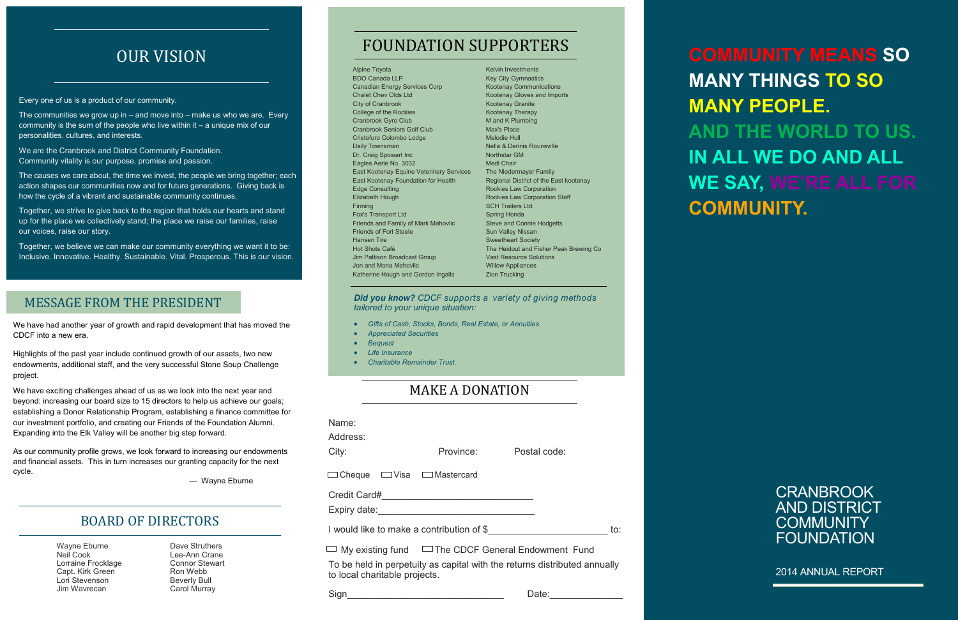**CRANBROOK** AND DISTRICT **COMMUNITY** FOUNDATION

2014 ANNUAL REPORT

f

Every one of us is a product of our community.

The communities we grow up in  $-$  and move into  $-$  make us who we are. Every community is the sum of the people who live within it – a unique mix of our personalities, cultures, and interests.

We are the Cranbrook and District Community Foundation. Community vitality is our purpose, promise and passion.

The causes we care about, the time we invest, the people we bring together; each action shapes our communities now and for future generations. Giving back is how the cycle of a vibrant and sustainable community continues.

Together, we strive to give back to the region that holds our hearts and stand up for the place we collectively stand; the place we raise our families, raise our voices, raise our story.

Together, we believe we can make our community everything we want it to be: Inclusive. Innovative. Healthy. Sustainable. Vital. Prosperous. This is our vision.

# FOUNDATION SUPPORTERS OUR VISION

## MAKE A DONATION

#### *Did you know? CDCF supports a variety of giving methods tailored to your unique situation:*

- *Gifts of Cash, Stocks, Bonds, Real Estate, or Annuities*
- *Appreciated Securities*
- *Bequest*
- *Life Insurance*
- *Charitable Remainder Trust.*

| Name:<br>Address:<br>City:                                                                                                                                                                                                     | Province: | Postal code: |  |  |
|--------------------------------------------------------------------------------------------------------------------------------------------------------------------------------------------------------------------------------|-----------|--------------|--|--|
| Cheque $\Box$ Visa $\Box$ Mastercard                                                                                                                                                                                           |           |              |  |  |
| Expiry date: Expire that the state of the state of the state of the state of the state of the state of the state of the state of the state of the state of the state of the state of the state of the state of the state of th |           |              |  |  |
| I would like to make a contribution of \$<br>to:                                                                                                                                                                               |           |              |  |  |
| My existing fund $\Box$ The CDCF General Endowment Fund                                                                                                                                                                        |           |              |  |  |
| To be held in perpetuity as capital with the returns distributed annually<br>to local charitable projects.                                                                                                                     |           |              |  |  |

Sign\_\_\_\_\_\_\_\_\_\_\_\_\_\_\_\_\_\_\_\_\_\_\_\_\_\_\_\_\_\_ Date:\_\_\_\_\_\_\_\_\_\_\_\_\_\_

### BOARD OF DIRECTORS

We have had another year of growth and rapid development that has moved the CDCF into a new era.

Highlights of the past year include continued growth of our assets, two new endowments, additional staff, and the very successful Stone Soup Challenge project.

We have exciting challenges ahead of us as we look into the next year and beyond: increasing our board size to 15 directors to help us achieve our goals; establishing a Donor Relationship Program, establishing a finance committee for our investment portfolio, and creating our Friends of the Foundation Alumni. Expanding into the Elk Valley will be another big step forward.

As our community profile grows, we look forward to increasing our endowments and financial assets. This in turn increases our granting capacity for the next cycle.

— Wayne Eburne

## MESSAGE FROM THE PRESIDENT

**COMMUNITY MEANS SO MANY THINGS TO SO MANY PEOPLE. AND THE WORLD TO US. IN ALL WE DO AND ALL WE SAY, WE'RE ALL FOR COMMUNITY.**

Alpine Toyota BDO Canada LLP Canadian Energy Services Corp Chalet Chev Olds Ltd City of Cranbrook College of the Rockies Cranbrook Gyro Club Cranbrook Seniors Golf Club Cristoforo Colombo Lodge Daily Townsman Dr. Craig Spowart Inc Eagles Aerie No. 3032 East Kootenay Equine Veterinary Services East Kootenay Foundation for Health Edge Consulting Elizabeth Hough Finning Fox's Transport Ltd Friends and Family of Mark Mahovlic Friends of Fort Steele Hansen Tire Hot Shots Café Jim Pattison Broadcast Group Jon and Mona Mahovlic Katherine Hough and Gordon Ingalls Max's Place Melodie Hull Northstar GM Medi Chair Spring Honda Zion Trucking

Kelvin Investments Key City Gymnastics Kootenay Communications Kootenay Gloves and Imports Kootenay Granite Kootenay Therapy M and K Plumbing Nella & Dennis Rounsville The Niedermayer Family Regional District of the East kootenay Rockies Law Corporation Rockies Law Corporation Staff SCH Trailers Ltd. Steve and Connie Hodgetts Sun Valley Nissan Sweetheart Society The Heidout and Fisher Peak Brewing Co Vast Resource Solutions Willow Appliances

Wayne Eburne Neil Cook Lorraine Frocklage Capt. Kirk Green Lori Stevenson Jim Wavrecan

Dave Struthers Lee-Ann Crane Connor Stewart Ron Webb Beverly Bull Carol Murray